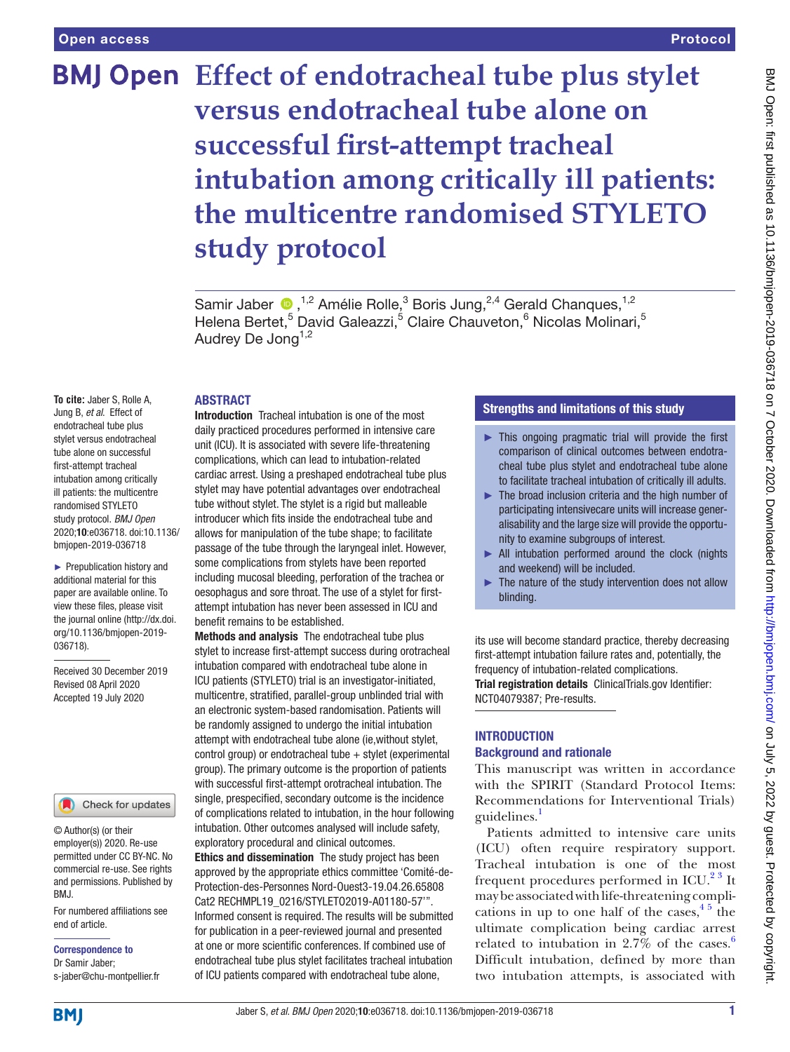# **BMJ Open** Effect of endotracheal tube plus stylet **versus endotracheal tube alone on successful first-attempt tracheal intubation among critically ill patients: the multicentre randomised STYLETO study protocol**

SamirJaber  $\bigcirc$ , <sup>1,2</sup> Amélie Rolle,<sup>3</sup> Boris Jung, <sup>2,4</sup> Gerald Chanques, <sup>1,2</sup> Helena Bertet,<sup>5</sup> David Galeazzi,<sup>5</sup> Claire Chauveton,<sup>6</sup> Nicolas Molinari,<sup>5</sup> Audrey De Jong<sup>1,2</sup>

#### ABSTRACT

**To cite:** Jaber S, Rolle A, Jung B, *et al*. Effect of endotracheal tube plus stylet versus endotracheal tube alone on successful first-attempt tracheal intubation among critically ill patients: the multicentre randomised STYLETO study protocol. *BMJ Open* 2020;10:e036718. doi:10.1136/ bmjopen-2019-036718

► Prepublication history and additional material for this paper are available online. To view these files, please visit the journal online (http://dx.doi. org/10.1136/bmjopen-2019- 036718).

Received 30 December 2019 Revised 08 April 2020 Accepted 19 July 2020



© Author(s) (or their employer(s)) 2020. Re-use permitted under CC BY-NC. No commercial re-use. See rights and permissions. Published by BMJ.

For numbered affiliations see end of article.

Correspondence to Dr Samir Jaber; s-jaber@chu-montpellier.fr

Introduction Tracheal intubation is one of the most daily practiced procedures performed in intensive care unit (ICU). It is associated with severe life-threatening complications, which can lead to intubation-related cardiac arrest. Using a preshaped endotracheal tube plus stylet may have potential advantages over endotracheal tube without stylet. The stylet is a rigid but malleable introducer which fits inside the endotracheal tube and allows for manipulation of the tube shape; to facilitate passage of the tube through the laryngeal inlet. However, some complications from stylets have been reported including mucosal bleeding, perforation of the trachea or oesophagus and sore throat. The use of a stylet for firstattempt intubation has never been assessed in ICU and benefit remains to be established.

Methods and analysis The endotracheal tube plus stylet to increase first-attempt success during orotracheal intubation compared with endotracheal tube alone in ICU patients (STYLETO) trial is an investigator-initiated, multicentre, stratified, parallel-group unblinded trial with an electronic system-based randomisation. Patients will be randomly assigned to undergo the initial intubation attempt with endotracheal tube alone (ie,without stylet, control group) or endotracheal tube  $+$  stylet (experimental group). The primary outcome is the proportion of patients with successful first-attempt orotracheal intubation. The single, prespecified, secondary outcome is the incidence of complications related to intubation, in the hour following intubation. Other outcomes analysed will include safety, exploratory procedural and clinical outcomes. Ethics and dissemination The study project has been approved by the appropriate ethics committee 'Comité-de-Protection-des-Personnes Nord-Ouest3-19.04.26.65808 Cat2 RECHMPL19\_0216/STYLETO2019-A01180-57'".

Informed consent is required. The results will be submitted for publication in a peer-reviewed journal and presented at one or more scientific conferences. If combined use of endotracheal tube plus stylet facilitates tracheal intubation of ICU patients compared with endotracheal tube alone,

# Strengths and limitations of this study

- $\blacktriangleright$  This ongoing pragmatic trial will provide the first comparison of clinical outcomes between endotracheal tube plus stylet and endotracheal tube alone to facilitate tracheal intubation of critically ill adults.
- $\blacktriangleright$  The broad inclusion criteria and the high number of participating intensivecare units will increase generalisability and the large size will provide the opportunity to examine subgroups of interest.
- ► All intubation performed around the clock (nights and weekend) will be included.
- ► The nature of the study intervention does not allow blinding.

its use will become standard practice, thereby decreasing first-attempt intubation failure rates and, potentially, the frequency of intubation-related complications.

Trial registration details ClinicalTrials.gov Identifier: [NCT04079387; Pre-results.](NCT04079387)

# INTRODUCTION Background and rationale

This manuscript was written in accordance with the SPIRIT (Standard Protocol Items: Recommendations for Interventional Trials) guidelines.

Patients admitted to intensive care units (ICU) often require respiratory support. Tracheal intubation is one of the most frequent procedures performed in ICU.<sup>2 3</sup> It may be associated with life-threatening complications in up to one half of the cases,  $4<sup>5</sup>$  the ultimate complication being cardiac arrest related to intubation in  $2.7\%$  of the cases.<sup>[6](#page-7-3)</sup> Difficult intubation, defined by more than two intubation attempts, is associated with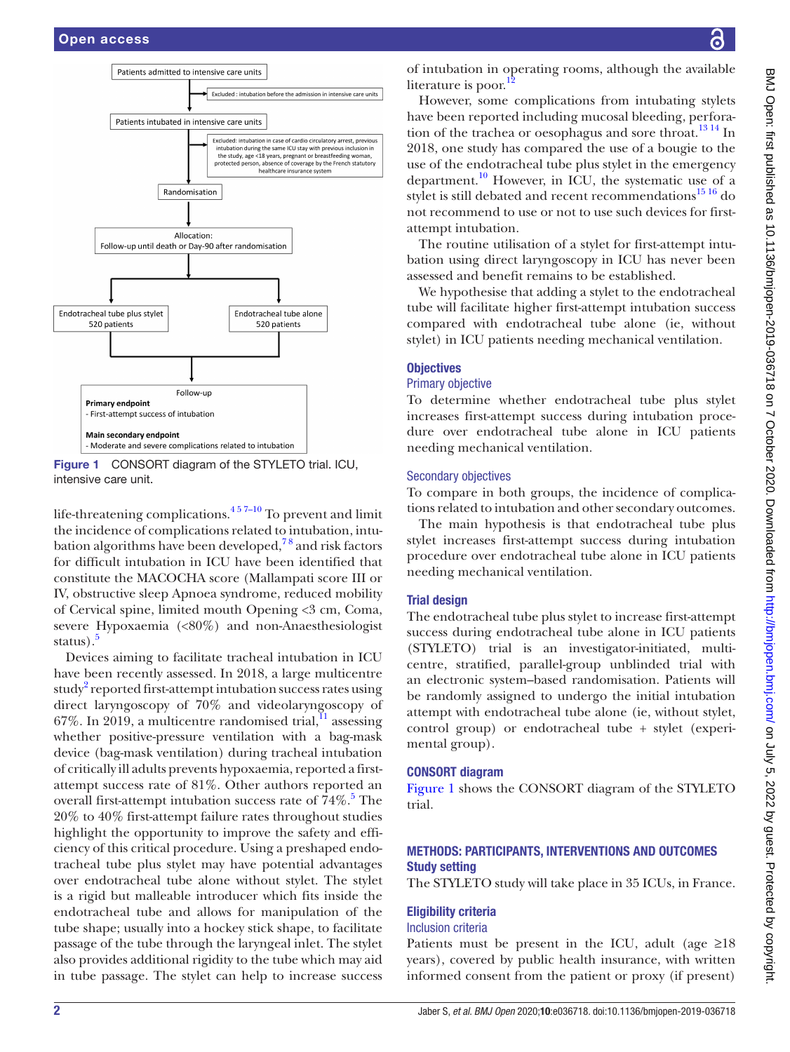

<span id="page-1-0"></span>Figure 1 CONSORT diagram of the STYLETO trial. ICU, intensive care unit.

life-threatening complications. $4\frac{4}{7}$  To prevent and limit the incidence of complications related to intubation, intubation algorithms have been developed, $^{78}$  and risk factors for difficult intubation in ICU have been identified that constitute the MACOCHA score (Mallampati score III or IV, obstructive sleep Apnoea syndrome, reduced mobility of Cervical spine, limited mouth Opening <3 cm, Coma, severe Hypoxaemia (<80%) and non-Anaesthesiologist status).<sup>[5](#page-7-5)</sup>

Devices aiming to facilitate tracheal intubation in ICU have been recently assessed. In 2018, a large multicentre study<sup>2</sup> reported first-attempt intubation success rates using direct laryngoscopy of 70% and videolaryngoscopy of  $67\%$ . In 2019, a multicentre randomised trial,  $\frac{11}{11}$  assessing whether positive-pressure ventilation with a bag-mask device (bag-mask ventilation) during tracheal intubation of critically ill adults prevents hypoxaemia, reported a firstattempt success rate of 81%. Other authors reported an overall first-attempt intubation success rate of  $74\%$ .<sup>[5](#page-7-5)</sup> The 20% to 40% first-attempt failure rates throughout studies highlight the opportunity to improve the safety and efficiency of this critical procedure. Using a preshaped endotracheal tube plus stylet may have potential advantages over endotracheal tube alone without stylet. The stylet is a rigid but malleable introducer which fits inside the endotracheal tube and allows for manipulation of the tube shape; usually into a hockey stick shape, to facilitate passage of the tube through the laryngeal inlet. The stylet also provides additional rigidity to the tube which may aid in tube passage. The stylet can help to increase success

of intubation in operating rooms, although the available literature is poor.

However, some complications from intubating stylets have been reported including mucosal bleeding, perfora-tion of the trachea or oesophagus and sore throat.<sup>[13 14](#page-7-8)</sup> In 2018, one study has compared the use of a bougie to the use of the endotracheal tube plus stylet in the emergency department.<sup>10</sup> However, in ICU, the systematic use of a stylet is still debated and recent recommendations $^{15}$ <sup>16</sup> do not recommend to use or not to use such devices for firstattempt intubation.

The routine utilisation of a stylet for first-attempt intubation using direct laryngoscopy in ICU has never been assessed and benefit remains to be established.

We hypothesise that adding a stylet to the endotracheal tube will facilitate higher first-attempt intubation success compared with endotracheal tube alone (ie, without stylet) in ICU patients needing mechanical ventilation.

#### **Objectives**

#### Primary objective

To determine whether endotracheal tube plus stylet increases first-attempt success during intubation procedure over endotracheal tube alone in ICU patients needing mechanical ventilation.

#### Secondary objectives

To compare in both groups, the incidence of complications related to intubation and other secondary outcomes.

The main hypothesis is that endotracheal tube plus stylet increases first-attempt success during intubation procedure over endotracheal tube alone in ICU patients needing mechanical ventilation.

#### Trial design

The endotracheal tube plus stylet to increase first-attempt success during endotracheal tube alone in ICU patients (STYLETO) trial is an investigator-initiated, multicentre, stratified, parallel-group unblinded trial with an electronic system–based randomisation. Patients will be randomly assigned to undergo the initial intubation attempt with endotracheal tube alone (ie, without stylet, control group) or endotracheal tube + stylet (experimental group).

#### CONSORT diagram

[Figure](#page-1-0) 1 shows the CONSORT diagram of the STYLETO trial.

# METHODS: PARTICIPANTS, INTERVENTIONS AND OUTCOMES Study setting

The STYLETO study will take place in 35 ICUs, in France.

#### Eligibility criteria

#### Inclusion criteria

Patients must be present in the ICU, adult (age  $\geq 18$ ) years), covered by public health insurance, with written informed consent from the patient or proxy (if present)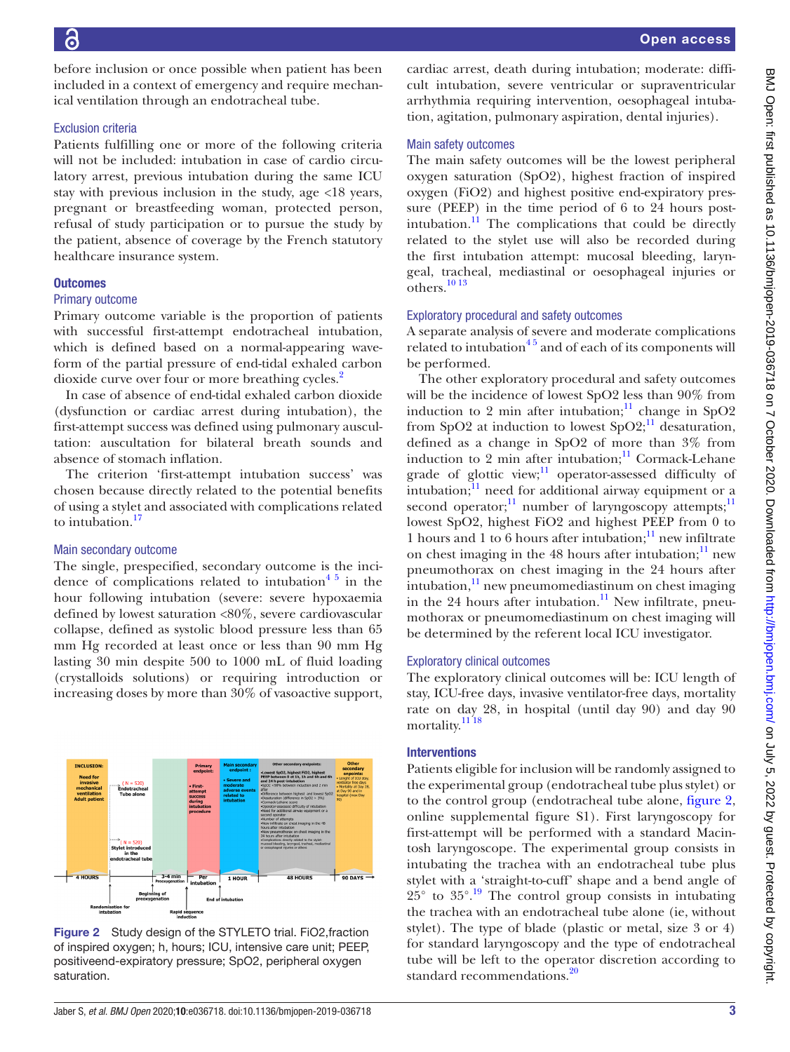before inclusion or once possible when patient has been included in a context of emergency and require mechanical ventilation through an endotracheal tube.

#### Exclusion criteria

Patients fulfilling one or more of the following criteria will not be included: intubation in case of cardio circulatory arrest, previous intubation during the same ICU stay with previous inclusion in the study, age <18 years, pregnant or breastfeeding woman, protected person, refusal of study participation or to pursue the study by the patient, absence of coverage by the French statutory healthcare insurance system.

#### **Outcomes**

#### Primary outcome

Primary outcome variable is the proportion of patients with successful first-attempt endotracheal intubation, which is defined based on a normal-appearing waveform of the partial pressure of end-tidal exhaled carbon dioxide curve over four or more breathing cycles.<sup>[2](#page-7-1)</sup>

In case of absence of end-tidal exhaled carbon dioxide (dysfunction or cardiac arrest during intubation), the first-attempt success was defined using pulmonary auscultation: auscultation for bilateral breath sounds and absence of stomach inflation.

The criterion 'first-attempt intubation success' was chosen because directly related to the potential benefits of using a stylet and associated with complications related to intubation.<sup>17</sup>

# Main secondary outcome

The single, prespecified, secondary outcome is the incidence of complications related to intubation<sup>45</sup> in the hour following intubation (severe: severe hypoxaemia defined by lowest saturation <80%, severe cardiovascular collapse, defined as systolic blood pressure less than 65 mm Hg recorded at least once or less than 90 mm Hg lasting 30 min despite 500 to 1000 mL of fluid loading (crystalloids solutions) or requiring introduction or increasing doses by more than 30% of vasoactive support,



<span id="page-2-0"></span>Figure 2 Study design of the STYLETO trial. FiO2, fraction of inspired oxygen; h, hours; ICU, intensive care unit; PEEP, positiveend-expiratory pressure; SpO2, peripheral oxygen saturation.

cardiac arrest, death during intubation; moderate: difficult intubation, severe ventricular or supraventricular arrhythmia requiring intervention, oesophageal intubation, agitation, pulmonary aspiration, dental injuries).

#### Main safety outcomes

The main safety outcomes will be the lowest peripheral oxygen saturation (SpO2), highest fraction of inspired oxygen (FiO2) and highest positive end-expiratory pressure (PEEP) in the time period of 6 to 24 hours postintubation. $\frac{11}{11}$  The complications that could be directly related to the stylet use will also be recorded during the first intubation attempt: mucosal bleeding, laryngeal, tracheal, mediastinal or oesophageal injuries or  $\overline{\text{others}}$ .<sup>[10 13](#page-7-9)</sup>

#### Exploratory procedural and safety outcomes

A separate analysis of severe and moderate complications related to intubation<sup>45</sup> and of each of its components will be performed.

The other exploratory procedural and safety outcomes will be the incidence of lowest SpO2 less than 90% from induction to 2 min after intubation; $\frac{11}{11}$  change in SpO2 from SpO2 at induction to lowest SpO2;<sup>[11](#page-7-6)</sup> desaturation, defined as a change in SpO2 of more than 3% from induction to 2 min after intubation; $\frac{11}{11}$  Cormack-Lehane grade of glottic view; $\frac{11}{11}$  operator-assessed difficulty of intubation; $\frac{11}{11}$  need for additional airway equipment or a second operator;<sup>[11](#page-7-6)</sup> number of laryngoscopy attempts;<sup>11</sup> lowest SpO2, highest FiO2 and highest PEEP from 0 to 1 hours and 1 to 6 hours after intubation; $\frac{11}{1}$  new infiltrate on chest imaging in the  $48$  hours after intubation;<sup>[11](#page-7-6)</sup> new pneumothorax on chest imaging in the 24 hours after intubation, $\frac{11}{1}$  $\frac{11}{1}$  $\frac{11}{1}$  new pneumomediastinum on chest imaging in the 24 hours after intubation.<sup>11</sup> New infiltrate, pneumothorax or pneumomediastinum on chest imaging will be determined by the referent local ICU investigator.

# Exploratory clinical outcomes

The exploratory clinical outcomes will be: ICU length of stay, ICU-free days, invasive ventilator-free days, mortality rate on day 28, in hospital (until day 90) and day 90 mortality.<sup>11</sup><sup>18</sup>

#### Interventions

Patients eligible for inclusion will be randomly assigned to the experimental group (endotracheal tube plus stylet) or to the control group (endotracheal tube alone, [figure](#page-2-0) 2, [online supplemental figure S1](https://dx.doi.org/10.1136/bmjopen-2019-036718)). First laryngoscopy for first-attempt will be performed with a standard Macintosh laryngoscope. The experimental group consists in intubating the trachea with an endotracheal tube plus stylet with a 'straight-to-cuff' shape and a bend angle of  $25^{\circ}$  to  $35^{\circ}$ .<sup>[19](#page-7-12)</sup> The control group consists in intubating the trachea with an endotracheal tube alone (ie, without stylet). The type of blade (plastic or metal, size 3 or 4) for standard laryngoscopy and the type of endotracheal tube will be left to the operator discretion according to standard recommendations.<sup>20</sup>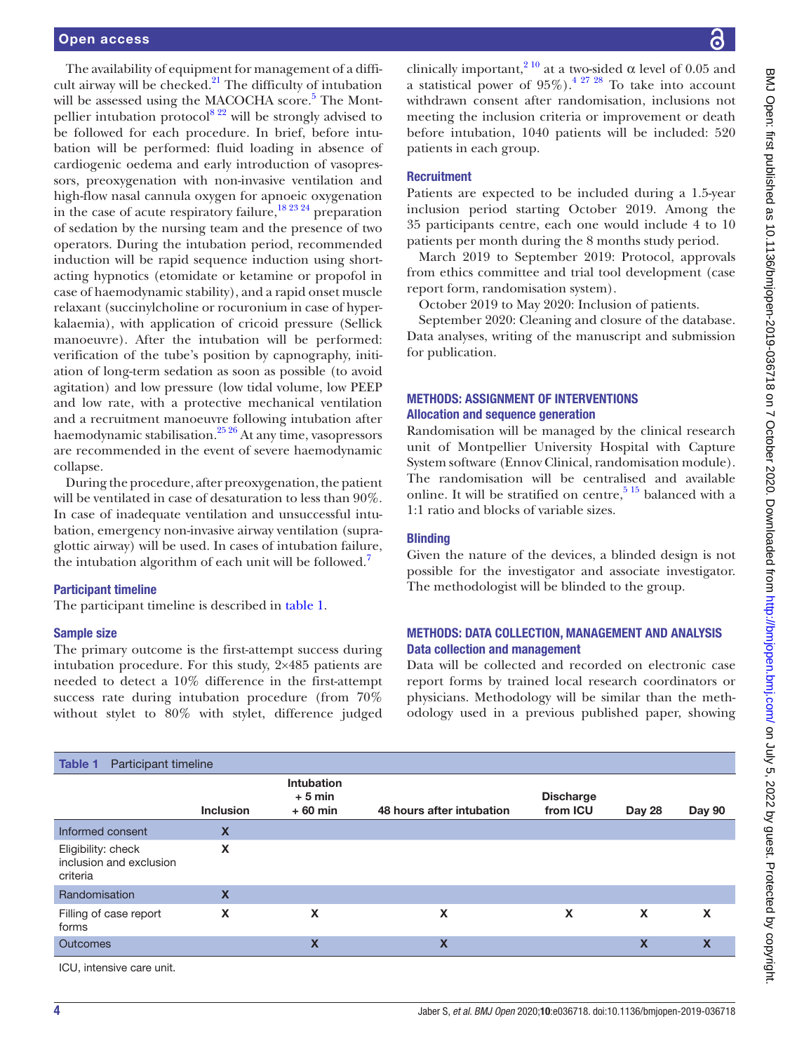The availability of equipment for management of a difficult airway will be checked. $21$  The difficulty of intubation will be assessed using the MACOCHA score.<sup>[5](#page-7-5)</sup> The Montpellier intubation protocol<sup>8 22</sup> will be strongly advised to be followed for each procedure. In brief, before intubation will be performed: fluid loading in absence of cardiogenic oedema and early introduction of vasopressors, preoxygenation with non-invasive ventilation and high-flow nasal cannula oxygen for apnoeic oxygenation in the case of acute respiratory failure,  $\frac{18\,23\,24}{2}$  preparation of sedation by the nursing team and the presence of two operators. During the intubation period, recommended induction will be rapid sequence induction using shortacting hypnotics (etomidate or ketamine or propofol in case of haemodynamic stability), and a rapid onset muscle relaxant (succinylcholine or rocuronium in case of hyperkalaemia), with application of cricoid pressure (Sellick manoeuvre). After the intubation will be performed: verification of the tube's position by capnography, initiation of long-term sedation as soon as possible (to avoid agitation) and low pressure (low tidal volume, low PEEP and low rate, with a protective mechanical ventilation and a recruitment manoeuvre following intubation after haemodynamic stabilisation.[25 26](#page-7-17) At any time, vasopressors are recommended in the event of severe haemodynamic collapse.

During the procedure, after preoxygenation, the patient will be ventilated in case of desaturation to less than 90%. In case of inadequate ventilation and unsuccessful intubation, emergency non-invasive airway ventilation (supraglottic airway) will be used. In cases of intubation failure, the intubation algorithm of each unit will be followed.<sup>7</sup>

#### Participant timeline

The participant timeline is described in [table](#page-3-0) 1.

#### Sample size

The primary outcome is the first-attempt success during intubation procedure. For this study, 2×485 patients are needed to detect a 10% difference in the first-attempt success rate during intubation procedure (from 70% without stylet to 80% with stylet, difference judged

clinically important,<sup>[2 10](#page-7-1)</sup> at a two-sided  $\alpha$  level of 0.05 and a statistical power of  $95\%$ ).<sup>4 27</sup> <sup>28</sup> To take into account withdrawn consent after randomisation, inclusions not meeting the inclusion criteria or improvement or death before intubation, 1040 patients will be included: 520 patients in each group.

#### **Recruitment**

Patients are expected to be included during a 1.5-year inclusion period starting October 2019. Among the 35 participants centre, each one would include 4 to 10 patients per month during the 8 months study period.

March 2019 to September 2019: Protocol, approvals from ethics committee and trial tool development (case report form, randomisation system).

October 2019 to May 2020: Inclusion of patients.

September 2020: Cleaning and closure of the database. Data analyses, writing of the manuscript and submission for publication.

# METHODS: ASSIGNMENT OF INTERVENTIONS Allocation and sequence generation

Randomisation will be managed by the clinical research unit of Montpellier University Hospital with Capture System software (Ennov Clinical, randomisation module). The randomisation will be centralised and available online. It will be stratified on centre,  $515$  balanced with a 1:1 ratio and blocks of variable sizes.

#### **Blinding**

Given the nature of the devices, a blinded design is not possible for the investigator and associate investigator. The methodologist will be blinded to the group.

# METHODS: DATA COLLECTION, MANAGEMENT AND ANALYSIS Data collection and management

Data will be collected and recorded on electronic case report forms by trained local research coordinators or physicians. Methodology will be similar than the methodology used in a previous published paper, showing

<span id="page-3-0"></span>

| Participant timeline<br><b>Table 1</b>                    |                           |                                     |                           |                              |                           |                           |
|-----------------------------------------------------------|---------------------------|-------------------------------------|---------------------------|------------------------------|---------------------------|---------------------------|
|                                                           | <b>Inclusion</b>          | Intubation<br>$+5$ min<br>$+60$ min | 48 hours after intubation | <b>Discharge</b><br>from ICU | Day 28                    | Day 90                    |
| Informed consent                                          | X                         |                                     |                           |                              |                           |                           |
| Eligibility: check<br>inclusion and exclusion<br>criteria | X                         |                                     |                           |                              |                           |                           |
| Randomisation                                             | $\boldsymbol{\mathsf{X}}$ |                                     |                           |                              |                           |                           |
| Filling of case report<br>forms                           | X                         | X                                   | X                         | X                            | $\boldsymbol{\mathsf{x}}$ | X                         |
| <b>Outcomes</b>                                           |                           | $\boldsymbol{\mathsf{x}}$           | X                         |                              | X                         | $\boldsymbol{\mathsf{x}}$ |
| ICU, intensive care unit.                                 |                           |                                     |                           |                              |                           |                           |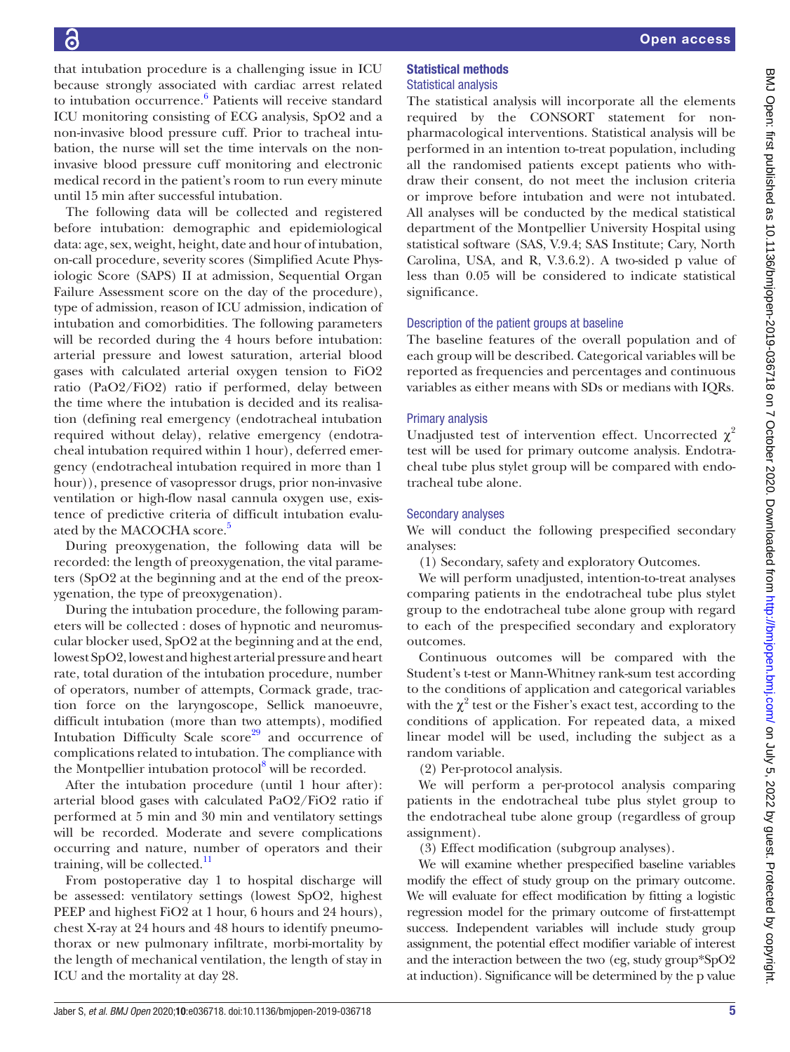that intubation procedure is a challenging issue in ICU because strongly associated with cardiac arrest related to intubation occurrence.<sup>[6](#page-7-3)</sup> Patients will receive standard ICU monitoring consisting of ECG analysis, SpO2 and a non-invasive blood pressure cuff. Prior to tracheal intubation, the nurse will set the time intervals on the noninvasive blood pressure cuff monitoring and electronic medical record in the patient's room to run every minute until 15 min after successful intubation.

The following data will be collected and registered before intubation: demographic and epidemiological data: age, sex, weight, height, date and hour of intubation, on-call procedure, severity scores (Simplified Acute Physiologic Score (SAPS) II at admission, Sequential Organ Failure Assessment score on the day of the procedure), type of admission, reason of ICU admission, indication of intubation and comorbidities. The following parameters will be recorded during the 4 hours before intubation: arterial pressure and lowest saturation, arterial blood gases with calculated arterial oxygen tension to FiO2 ratio (PaO2/FiO2) ratio if performed, delay between the time where the intubation is decided and its realisation (defining real emergency (endotracheal intubation required without delay), relative emergency (endotracheal intubation required within 1 hour), deferred emergency (endotracheal intubation required in more than 1 hour)), presence of vasopressor drugs, prior non-invasive ventilation or high-flow nasal cannula oxygen use, existence of predictive criteria of difficult intubation evaluated by the MACOCHA score.<sup>5</sup>

During preoxygenation, the following data will be recorded: the length of preoxygenation, the vital parameters (SpO2 at the beginning and at the end of the preoxygenation, the type of preoxygenation).

During the intubation procedure, the following parameters will be collected : doses of hypnotic and neuromuscular blocker used, SpO2 at the beginning and at the end, lowest SpO2, lowest and highest arterial pressure and heart rate, total duration of the intubation procedure, number of operators, number of attempts, Cormack grade, traction force on the laryngoscope, Sellick manoeuvre, difficult intubation (more than two attempts), modified Intubation Difficulty Scale  $score^{29}$  $score^{29}$  $score^{29}$  and occurrence of complications related to intubation. The compliance with the Montpellier intubation protocol<sup>8</sup> will be recorded.

After the intubation procedure (until 1 hour after): arterial blood gases with calculated PaO2/FiO2 ratio if performed at 5 min and 30 min and ventilatory settings will be recorded. Moderate and severe complications occurring and nature, number of operators and their training, will be collected. $\frac{11}{11}$  $\frac{11}{11}$  $\frac{11}{11}$ 

From postoperative day 1 to hospital discharge will be assessed: ventilatory settings (lowest SpO2, highest PEEP and highest FiO2 at 1 hour, 6 hours and 24 hours), chest X-ray at 24 hours and 48 hours to identify pneumothorax or new pulmonary infiltrate, morbi-mortality by the length of mechanical ventilation, the length of stay in ICU and the mortality at day 28.

# Statistical methods Statistical analysis

The statistical analysis will incorporate all the elements required by the CONSORT statement for nonpharmacological interventions. Statistical analysis will be performed in an intention to-treat population, including all the randomised patients except patients who withdraw their consent, do not meet the inclusion criteria or improve before intubation and were not intubated. All analyses will be conducted by the medical statistical department of the Montpellier University Hospital using statistical software (SAS, V.9.4; SAS Institute; Cary, North Carolina, USA, and R, V.3.6.2). A two-sided p value of less than 0.05 will be considered to indicate statistical significance.

# Description of the patient groups at baseline

The baseline features of the overall population and of each group will be described. Categorical variables will be reported as frequencies and percentages and continuous variables as either means with SDs or medians with IQRs.

# Primary analysis

Unadjusted test of intervention effect. Uncorrected  $\chi^2$ test will be used for primary outcome analysis. Endotracheal tube plus stylet group will be compared with endotracheal tube alone.

# Secondary analyses

We will conduct the following prespecified secondary analyses:

(1) Secondary, safety and exploratory Outcomes.

We will perform unadjusted, intention-to-treat analyses comparing patients in the endotracheal tube plus stylet group to the endotracheal tube alone group with regard to each of the prespecified secondary and exploratory outcomes.

Continuous outcomes will be compared with the Student's t-test or Mann-Whitney rank-sum test according to the conditions of application and categorical variables with the  $\chi^2$  test or the Fisher's exact test, according to the conditions of application. For repeated data, a mixed linear model will be used, including the subject as a random variable.

(2) Per-protocol analysis.

We will perform a per-protocol analysis comparing patients in the endotracheal tube plus stylet group to the endotracheal tube alone group (regardless of group assignment).

(3) Effect modification (subgroup analyses).

We will examine whether prespecified baseline variables modify the effect of study group on the primary outcome. We will evaluate for effect modification by fitting a logistic regression model for the primary outcome of first-attempt success. Independent variables will include study group assignment, the potential effect modifier variable of interest and the interaction between the two (eg, study group\*SpO2 at induction). Significance will be determined by the p value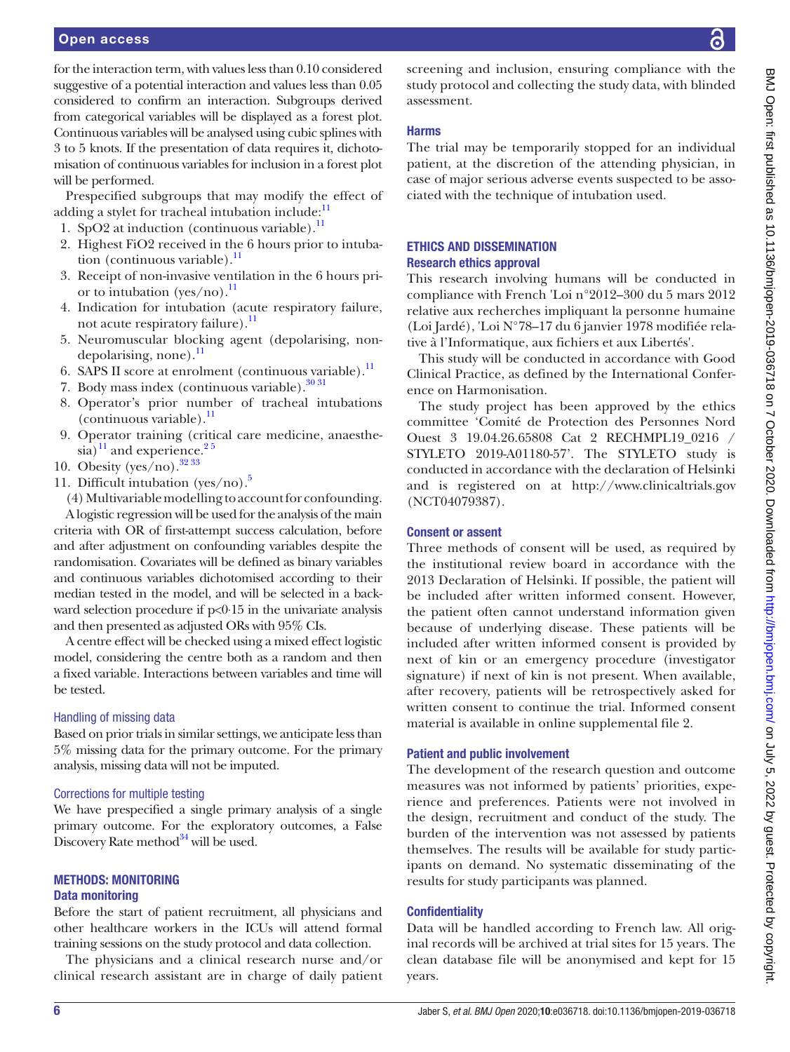#### Open access

for the interaction term, with values less than 0.10 considered suggestive of a potential interaction and values less than 0.05 considered to confirm an interaction. Subgroups derived from categorical variables will be displayed as a forest plot. Continuous variables will be analysed using cubic splines with 3 to 5 knots. If the presentation of data requires it, dichotomisation of continuous variables for inclusion in a forest plot will be performed.

Prespecified subgroups that may modify the effect of adding a stylet for tracheal intubation include: $<sup>1</sup>$ </sup>

- 1. SpO2 at induction (continuous variable). $<sup>11</sup>$ </sup>
- 2. Highest FiO2 received in the 6 hours prior to intubation (continuous variable). $^{11}$  $^{11}$  $^{11}$
- 3. Receipt of non-invasive ventilation in the 6 hours prior to intubation (yes/no).<sup>11</sup>
- 4. Indication for intubation (acute respiratory failure, not acute respiratory failure).<sup>11</sup>
- 5. Neuromuscular blocking agent (depolarising, nondepolarising, none).<sup>11</sup>
- 6. SAPS II score at enrolment (continuous variable). $^{11}$
- 7. Body mass index (continuous variable). $30\frac{31}{1}$
- 8. Operator's prior number of tracheal intubations  $($ continuous variable $).$ <sup>11</sup>
- 9. Operator training (critical care medicine, anaesthesia) $11$  and experience.<sup>25</sup>
- 10. Obesity (yes/no).  $3233$
- 11. Difficult intubation (yes/no).<sup>[5](#page-7-5)</sup>

(4) Multivariable modelling to account for confounding. A logistic regression will be used for the analysis of the main criteria with OR of first-attempt success calculation, before and after adjustment on confounding variables despite the randomisation. Covariates will be defined as binary variables and continuous variables dichotomised according to their median tested in the model, and will be selected in a backward selection procedure if p<0⋅15 in the univariate analysis and then presented as adjusted ORs with 95% CIs.

A centre effect will be checked using a mixed effect logistic model, considering the centre both as a random and then a fixed variable. Interactions between variables and time will be tested.

#### Handling of missing data

Based on prior trials in similar settings, we anticipate less than 5% missing data for the primary outcome. For the primary analysis, missing data will not be imputed.

#### Corrections for multiple testing

We have prespecified a single primary analysis of a single primary outcome. For the exploratory outcomes, a False Discovery Rate method $34$  will be used.

### METHODS: MONITORING Data monitoring

Before the start of patient recruitment, all physicians and other healthcare workers in the ICUs will attend formal training sessions on the study protocol and data collection.

The physicians and a clinical research nurse and/or clinical research assistant are in charge of daily patient screening and inclusion, ensuring compliance with the study protocol and collecting the study data, with blinded assessment.

# Harms

The trial may be temporarily stopped for an individual patient, at the discretion of the attending physician, in case of major serious adverse events suspected to be associated with the technique of intubation used.

# ETHICS AND DISSEMINATION Research ethics approval

This research involving humans will be conducted in compliance with French 'Loi n°2012–300 du 5 mars 2012 relative aux recherches impliquant la personne humaine (Loi Jardé), 'Loi N°78–17 du 6 janvier 1978 modifiée relative à l'Informatique, aux fichiers et aux Libertés'.

This study will be conducted in accordance with Good Clinical Practice, as defined by the International Conference on Harmonisation.

The study project has been approved by the ethics committee 'Comité de Protection des Personnes Nord Ouest 3 19.04.26.65808 Cat 2 RECHMPL19\_0216 / STYLETO 2019-A01180-57'. The STYLETO study is conducted in accordance with the declaration of Helsinki and is registered on at <http://www.clinicaltrials.gov> [\(NCT04079387\)](https://clinicaltrials.gov/show/NCT04079387).

### Consent or assent

Three methods of consent will be used, as required by the institutional review board in accordance with the 2013 Declaration of Helsinki. If possible, the patient will be included after written informed consent. However, the patient often cannot understand information given because of underlying disease. These patients will be included after written informed consent is provided by next of kin or an emergency procedure (investigator signature) if next of kin is not present. When available, after recovery, patients will be retrospectively asked for written consent to continue the trial. Informed consent material is available in [online supplemental file 2](https://dx.doi.org/10.1136/bmjopen-2019-036718).

# Patient and public involvement

The development of the research question and outcome measures was not informed by patients' priorities, experience and preferences. Patients were not involved in the design, recruitment and conduct of the study. The burden of the intervention was not assessed by patients themselves. The results will be available for study participants on demand. No systematic disseminating of the results for study participants was planned.

# **Confidentiality**

Data will be handled according to French law. All original records will be archived at trial sites for 15 years. The clean database file will be anonymised and kept for 15 years.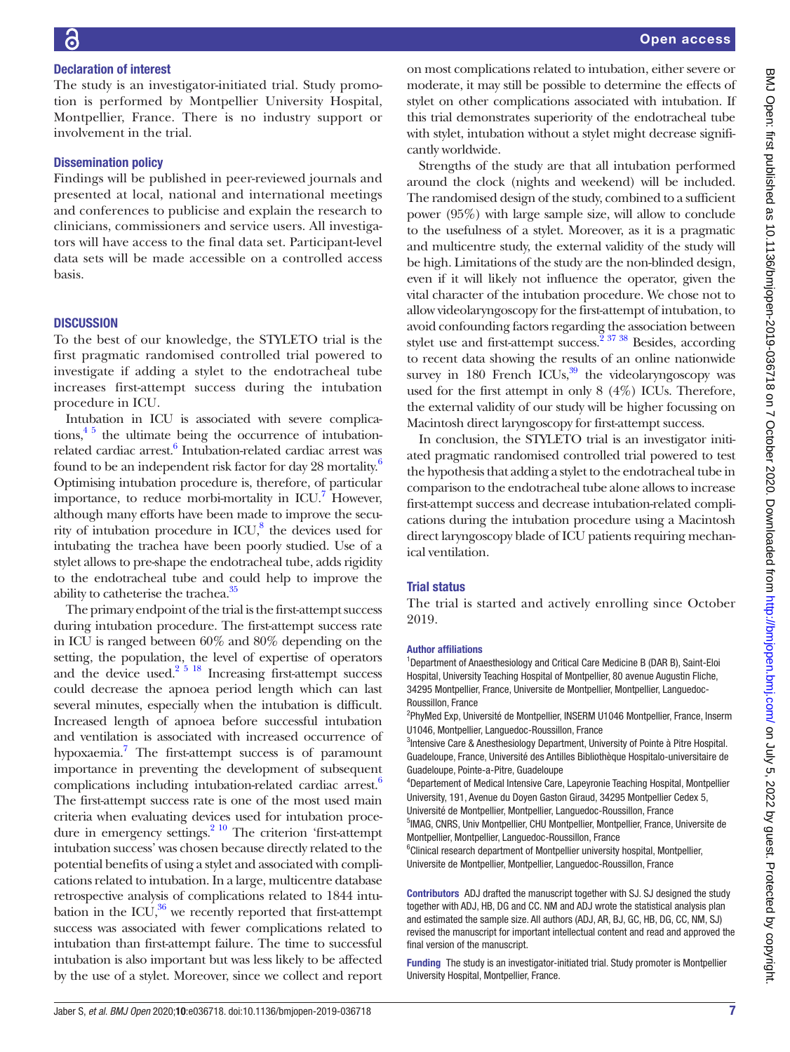The study is an investigator-initiated trial. Study promotion is performed by Montpellier University Hospital, Montpellier, France. There is no industry support or involvement in the trial.

# Dissemination policy

Findings will be published in peer-reviewed journals and presented at local, national and international meetings and conferences to publicise and explain the research to clinicians, commissioners and service users. All investigators will have access to the final data set. Participant-level data sets will be made accessible on a controlled access basis.

# **DISCUSSION**

To the best of our knowledge, the STYLETO trial is the first pragmatic randomised controlled trial powered to investigate if adding a stylet to the endotracheal tube increases first-attempt success during the intubation procedure in ICU.

Intubation in ICU is associated with severe complications,  $4<sup>5</sup>$  the ultimate being the occurrence of intubation-related cardiac arrest.<sup>[6](#page-7-3)</sup> Intubation-related cardiac arrest was found to be an independent risk factor for day 28 mortality.<sup>6</sup> Optimising intubation procedure is, therefore, of particular importance, to reduce morbi-mortality in ICU.<sup>7</sup> However, although many efforts have been made to improve the security of intubation procedure in  $ICU$ ,<sup>[8](#page-7-15)</sup> the devices used for intubating the trachea have been poorly studied. Use of a stylet allows to pre-shape the endotracheal tube, adds rigidity to the endotracheal tube and could help to improve the ability to catheterise the trachea.<sup>35</sup>

The primary endpoint of the trial is the first-attempt success during intubation procedure. The first-attempt success rate in ICU is ranged between 60% and 80% depending on the setting, the population, the level of expertise of operators and the device used.<sup>2 5 18</sup> Increasing first-attempt success could decrease the apnoea period length which can last several minutes, especially when the intubation is difficult. Increased length of apnoea before successful intubation and ventilation is associated with increased occurrence of hypoxaemia.<sup>7</sup> The first-attempt success is of paramount importance in preventing the development of subsequent complications including intubation-related cardiac arrest.<sup>6</sup> The first-attempt success rate is one of the most used main criteria when evaluating devices used for intubation procedure in emergency settings. $2^{10}$  The criterion 'first-attempt intubation success' was chosen because directly related to the potential benefits of using a stylet and associated with complications related to intubation. In a large, multicentre database retrospective analysis of complications related to 1844 intubation in the ICU, $36$  we recently reported that first-attempt success was associated with fewer complications related to intubation than first-attempt failure. The time to successful intubation is also important but was less likely to be affected by the use of a stylet. Moreover, since we collect and report

on most complications related to intubation, either severe or moderate, it may still be possible to determine the effects of stylet on other complications associated with intubation. If this trial demonstrates superiority of the endotracheal tube with stylet, intubation without a stylet might decrease significantly worldwide.

Strengths of the study are that all intubation performed around the clock (nights and weekend) will be included. The randomised design of the study, combined to a sufficient power (95%) with large sample size, will allow to conclude to the usefulness of a stylet. Moreover, as it is a pragmatic and multicentre study, the external validity of the study will be high. Limitations of the study are the non-blinded design, even if it will likely not influence the operator, given the vital character of the intubation procedure. We chose not to allow videolaryngoscopy for the first-attempt of intubation, to avoid confounding factors regarding the association between stylet use and first-attempt success.<sup> $\frac{2}{37}$ </sup> 38 Besides, according to recent data showing the results of an online nationwide survey in 180 French ICUs, $39$  the videolaryngoscopy was used for the first attempt in only 8 (4%) ICUs. Therefore, the external validity of our study will be higher focussing on Macintosh direct laryngoscopy for first-attempt success.

In conclusion, the STYLETO trial is an investigator initiated pragmatic randomised controlled trial powered to test the hypothesis that adding a stylet to the endotracheal tube in comparison to the endotracheal tube alone allows to increase first-attempt success and decrease intubation-related complications during the intubation procedure using a Macintosh direct laryngoscopy blade of ICU patients requiring mechanical ventilation.

# Trial status

The trial is started and actively enrolling since October 2019.

#### Author affiliations

<sup>1</sup>Department of Anaesthesiology and Critical Care Medicine B (DAR B), Saint-Eloi Hospital, University Teaching Hospital of Montpellier, 80 avenue Augustin Fliche, 34295 Montpellier, France, Universite de Montpellier, Montpellier, Languedoc-Roussillon, France

<sup>2</sup>PhyMed Exp, Université de Montpellier, INSERM U1046 Montpellier, France, Inserm U1046, Montpellier, Languedoc-Roussillon, France

<sup>3</sup>Intensive Care & Anesthesiology Department, University of Pointe à Pitre Hospital. Guadeloupe, France, Université des Antilles Bibliothèque Hospitalo-universitaire de Guadeloupe, Pointe-a-Pitre, Guadeloupe

4 Departement of Medical Intensive Care, Lapeyronie Teaching Hospital, Montpellier University, 191, Avenue du Doyen Gaston Giraud, 34295 Montpellier Cedex 5, Université de Montpellier, Montpellier, Languedoc-Roussillon, France

5 IMAG, CNRS, Univ Montpellier, CHU Montpellier, Montpellier, France, Universite de Montpellier, Montpellier, Languedoc-Roussillon, France

<sup>6</sup>Clinical research department of Montpellier university hospital, Montpellier, Universite de Montpellier, Montpellier, Languedoc-Roussillon, France

Contributors ADJ drafted the manuscript together with SJ. SJ designed the study together with ADJ, HB, DG and CC. NM and ADJ wrote the statistical analysis plan and estimated the sample size. All authors (ADJ, AR, BJ, GC, HB, DG, CC, NM, SJ) revised the manuscript for important intellectual content and read and approved the final version of the manuscript.

Funding The study is an investigator-initiated trial. Study promoter is Montpellier University Hospital, Montpellier, France.